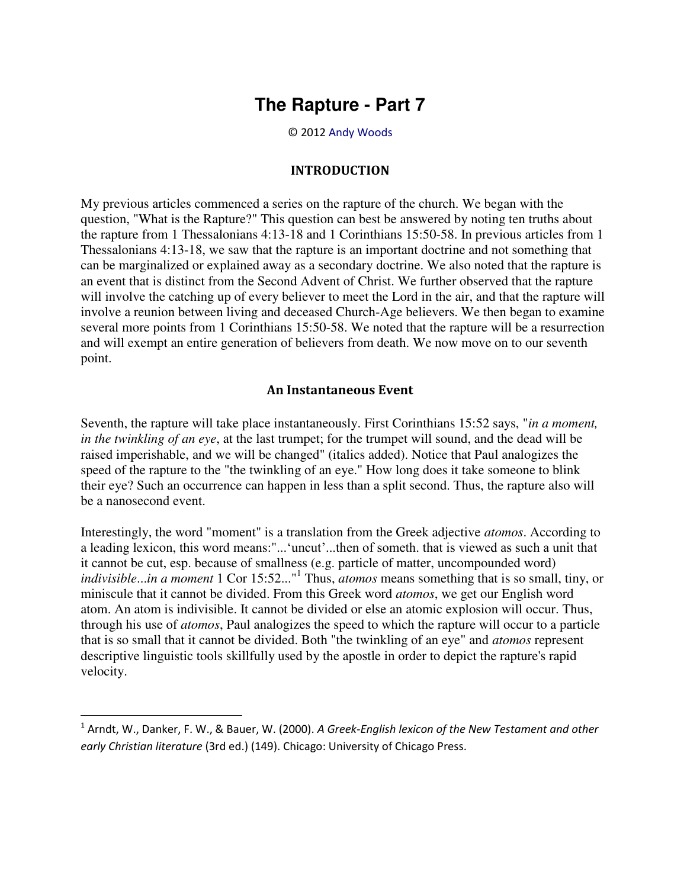## **The Rapture - Part 7**

© 2012 [Andy Woods](http://www.spiritandtruth.org/id/aw.htm)

## **INTRODUCTION**

My previous articles commenced a series on the rapture of the church. We began with the question, "What is the Rapture?" This question can best be answered by noting ten truths about the rapture from 1 Thessalonians 4:13-18 and 1 Corinthians 15:50-58. In previous articles from 1 Thessalonians 4:13-18, we saw that the rapture is an important doctrine and not something that can be marginalized or explained away as a secondary doctrine. We also noted that the rapture is an event that is distinct from the Second Advent of Christ. We further observed that the rapture will involve the catching up of every believer to meet the Lord in the air, and that the rapture will involve a reunion between living and deceased Church-Age believers. We then began to examine several more points from 1 Corinthians 15:50-58. We noted that the rapture will be a resurrection and will exempt an entire generation of believers from death. We now move on to our seventh point.

## **An Instantaneous Event**

Seventh, the rapture will take place instantaneously. First Corinthians 15:52 says, "*in a moment, in the twinkling of an eye*, at the last trumpet; for the trumpet will sound, and the dead will be raised imperishable, and we will be changed" (italics added). Notice that Paul analogizes the speed of the rapture to the "the twinkling of an eye." How long does it take someone to blink their eye? Such an occurrence can happen in less than a split second. Thus, the rapture also will be a nanosecond event.

Interestingly, the word "moment" is a translation from the Greek adjective *atomos*. According to a leading lexicon, this word means:"...'uncut'...then of someth. that is viewed as such a unit that it cannot be cut, esp. because of smallness (e.g. particle of matter, uncompounded word) *indivisible*...*in a moment* 1 Cor 15:52..."<sup>1</sup> Thus, *atomos* means something that is so small, tiny, or miniscule that it cannot be divided. From this Greek word *atomos*, we get our English word atom. An atom is indivisible. It cannot be divided or else an atomic explosion will occur. Thus, through his use of *atomos*, Paul analogizes the speed to which the rapture will occur to a particle that is so small that it cannot be divided. Both "the twinkling of an eye" and *atomos* represent descriptive linguistic tools skillfully used by the apostle in order to depict the rapture's rapid velocity.

l

<sup>1</sup> Arndt, W., Danker, F. W., & Bauer, W. (2000). *A Greek-English lexicon of the New Testament and other early Christian literature* (3rd ed.) (149). Chicago: University of Chicago Press.